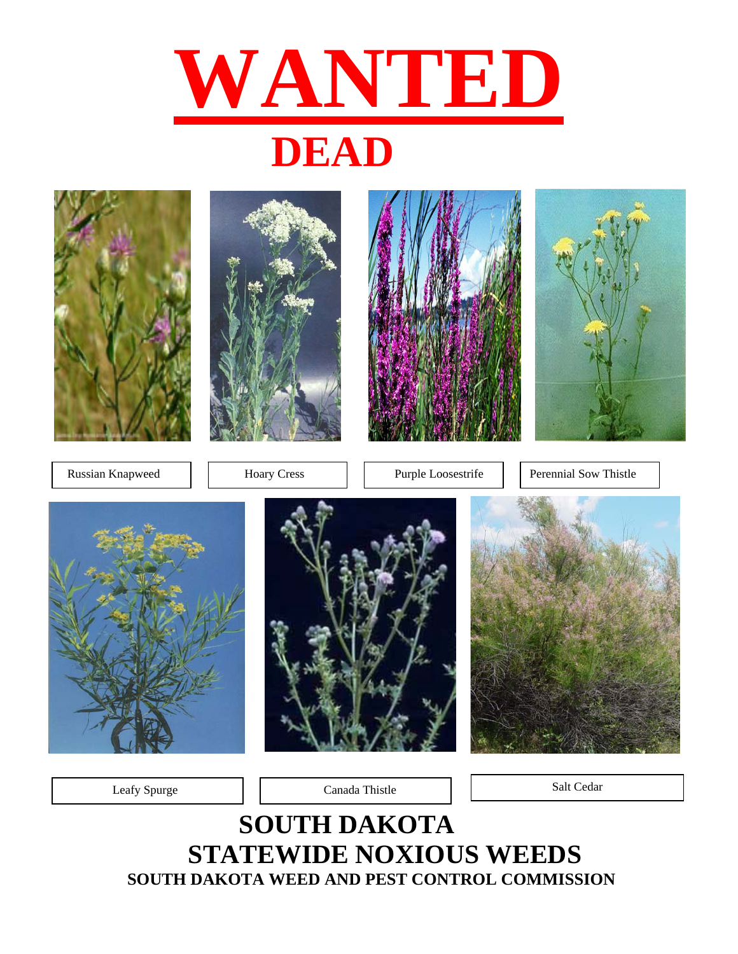



Leafy Spurge and Canada Thistle Canada Thistle Salt Cedar

## **SOUTH DAKOTA STATEWIDE NOXIOUS WEEDS SOUTH DAKOTA WEED AND PEST CONTROL COMMISSION**